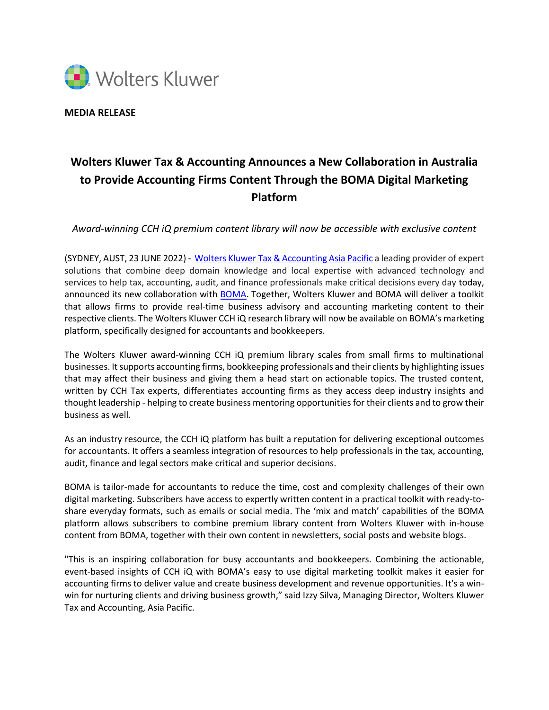

**MEDIA RELEASE**

## **Wolters Kluwer Tax & Accounting Announces a New Collaboration in Australia to Provide Accounting Firms Content Through the BOMA Digital Marketing Platform**

*Award-winning CCH iQ premium content library will now be accessible with exclusive content*

(SYDNEY, AUST, 23 JUNE 2022) - [Wolters Kluwer Tax & Accounting Asia Pacific](https://wolterskluwer.com/products-services/our-portfolio/tax-accounting.html) a leading provider of expert solutions that combine deep domain knowledge and local expertise with advanced technology and services to help tax, accounting, audit, and finance professionals make critical decisions every day today, announced its new collaboration wit[h](https://bomamarketing.com/boma-wolters-kluwer-cch/) [BOMA.](https://bomamarketing.com/boma-wolters-kluwer-cch/) Together, Wolters Kluwer and BOMA will deliver a toolkit that allows firms to provide real-time business advisory and accounting marketing content to their respective clients. The Wolters Kluwer CCH iQ research library will now be available on BOMA's marketing platform, specifically designed for accountants and bookkeepers.

The Wolters Kluwer award-winning CCH iQ premium library scales from small firms to multinational businesses. It supports accounting firms, bookkeeping professionals and their clients by highlighting issues that may affect their business and giving them a head start on actionable topics. The trusted content, written by CCH Tax experts, differentiates accounting firms as they access deep industry insights and thought leadership - helping to create business mentoring opportunities for their clients and to grow their business as well.

As an industry resource, the CCH iQ platform has built a reputation for delivering exceptional outcomes for accountants. It offers a seamless integration of resources to help professionals in the tax, accounting, audit, finance and legal sectors make critical and superior decisions.

BOMA is tailor-made for accountants to reduce the time, cost and complexity challenges of their own digital marketing. Subscribers have access to expertly written content in a practical toolkit with ready-toshare everyday formats, such as emails or social media. The 'mix and match' capabilities of the BOMA platform allows subscribers to combine premium library content from Wolters Kluwer with in-house content from BOMA, together with their own content in newsletters, social posts and website blogs.

"This is an inspiring collaboration for busy accountants and bookkeepers. Combining the actionable, event-based insights of CCH iQ with BOMA's easy to use digital marketing toolkit makes it easier for accounting firms to deliver value and create business development and revenue opportunities. It's a winwin for nurturing clients and driving business growth," said Izzy Silva, Managing Director, Wolters Kluwer Tax and Accounting, Asia Pacific.